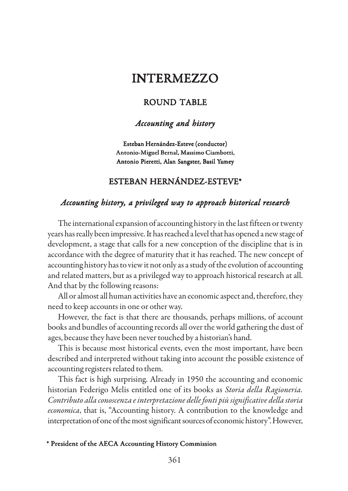# INTERMEZZO

## ROUND TABLE

## *Accounting and history Accounting history*

Esteban Hernández-Esteve (conductor) Antonio-Miguel Bernal, Massimo Ciambotti, Antonio Pieretti, Alan Sangster, Basil Yamey

### ESTEBAN HERNÁNDEZ-ESTEVE\*

## *Accounting history, a privileged way to approach historical research*

The international expansion of accounting history in the last fifteen or twenty years has really been impressive. It has reached a level that has opened a new stage of development, a stage that calls for a new conception of the discipline that is in accordance with the degree of maturity that it has reached. The new concept of accounting history has to view it not only as a study of the evolution of accounting and related matters, but as a privileged way to approach historical research at all. And that by the following reasons:

All or almost all human activities have an economic aspect and, therefore, they need to keep accounts in one or other way.

However, the fact is that there are thousands, perhaps millions, of account books and bundles of accounting records all over the world gathering the dust of ages, because they have been never touched by a historian's hand.

This is because most historical events, even the most important, have been described and interpreted without taking into account the possible existence of accounting registers related to them.

This fact is high surprising. Already in 1950 the accounting and economic historian Federigo Melis entitled one of its books as *Storia della Ragioneria. Contributo alla conoscenza e interpretazione delle fonti più significative della storia economica*, that is, "Accounting history. A contribution to the knowledge and interpretation of one of the most significant sources of economic history". However,

#### \* President of the AECA Accounting History Commission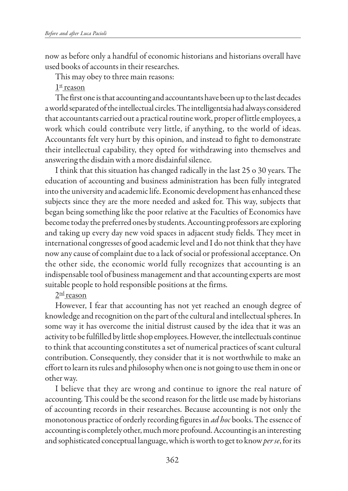now as before only a handful of economic historians and historians overall have used books of accounts in their researches.

This may obey to three main reasons:

 $1<sup>st</sup>$  reason

The first one is that accounting and accountants have been up to the last decades a world separated of the intellectual circles. The intelligentsia had always considered that accountants carried out a practical routine work, proper of little employees, a work which could contribute very little, if anything, to the world of ideas. Accountants felt very hurt by this opinion, and instead to fight to demonstrate their intellectual capability, they opted for withdrawing into themselves and answering the disdain with a more disdainful silence.

I think that this situation has changed radically in the last 25 o 30 years. The education of accounting and business administration has been fully integrated into the university and academic life. Economic development has enhanced these subjects since they are the more needed and asked for. This way, subjects that began being something like the poor relative at the Faculties of Economics have become today the preferred ones by students. Accounting professors are exploring and taking up every day new void spaces in adjacent study fields. They meet in international congresses of good academic level and I do not think that they have now any cause of complaint due to a lack of social or professional acceptance. On the other side, the economic world fully recognizes that accounting is an indispensable tool of business management and that accounting experts are most suitable people to hold responsible positions at the firms.

## $2<sup>nd</sup>$  reason

However, I fear that accounting has not yet reached an enough degree of knowledge and recognition on the part of the cultural and intellectual spheres. In some way it has overcome the initial distrust caused by the idea that it was an activity to be fulfilled by little shop employees. However, the intellectuals continue to think that accounting constitutes a set of numerical practices of scant cultural contribution. Consequently, they consider that it is not worthwhile to make an effort to learn its rules and philosophy when one is not going to use them in one or other way.

I believe that they are wrong and continue to ignore the real nature of accounting. This could be the second reason for the little use made by historians of accounting records in their researches. Because accounting is not only the monotonous practice of orderly recording figures in *ad hoc* books. The essence of accounting is completely other, much more profound. Accounting is an interesting and sophisticated conceptual language, which is worth to get to know *per se*, for its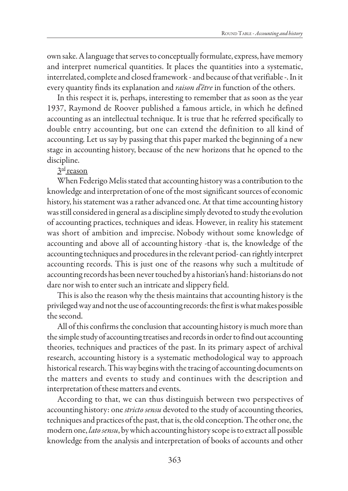own sake. A language that serves to conceptually formulate, express, have memory and interpret numerical quantities. It places the quantities into a systematic, interrelated, complete and closed framework - and because of that verifiable -. In it every quantity finds its explanation and *raison d'être* in function of the others.

In this respect it is, perhaps, interesting to remember that as soon as the year 1937, Raymond de Roover published a famous article, in which he defined accounting as an intellectual technique. It is true that he referred specifically to double entry accounting, but one can extend the definition to all kind of accounting. Let us say by passing that this paper marked the beginning of a new stage in accounting history, because of the new horizons that he opened to the discipline.

3<sup>rd</sup> reason

When Federigo Melis stated that accounting history was a contribution to the knowledge and interpretation of one of the most significant sources of economic history, his statement was a rather advanced one. At that time accounting history was still considered in general as a discipline simply devoted to study the evolution of accounting practices, techniques and ideas. However, in reality his statement was short of ambition and imprecise. Nobody without some knowledge of accounting and above all of accounting history -that is, the knowledge of the accounting techniques and procedures in the relevant period- can rightly interpret accounting records. This is just one of the reasons why such a multitude of accounting records has been never touched by a historian's hand: historians do not dare nor wish to enter such an intricate and slippery field.

This is also the reason why the thesis maintains that accounting history is the privileged way and not the use of accounting records: the first is what makes possible the second.

All of this confirms the conclusion that accounting history is much more than the simple study of accounting treatises and records in order to find out accounting theories, techniques and practices of the past. In its primary aspect of archival research, accounting history is a systematic methodological way to approach historical research. This way begins with the tracing of accounting documents on the matters and events to study and continues with the description and interpretation of these matters and events.

According to that, we can thus distinguish between two perspectives of accounting history: one *stricto sensu* devoted to the study of accounting theories, techniques and practices of the past, that is, the old conception. The other one, the modern one, *lato sensu*, by which accounting history scope is to extract all possible knowledge from the analysis and interpretation of books of accounts and other